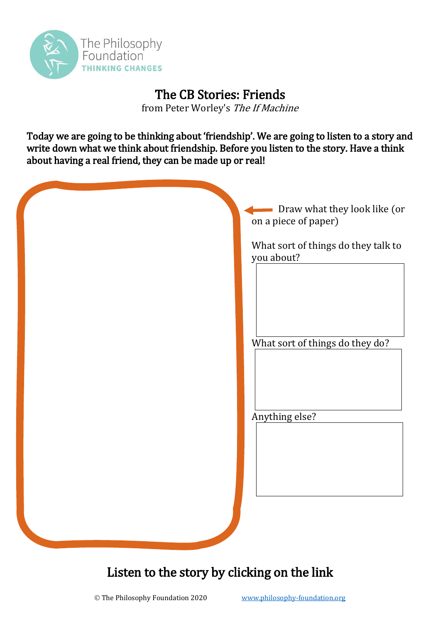

## The CB Stories: Friends

from Peter Worley's The If Machine

Today we are going to be thinking about 'friendship'. We are going to listen to a story and write down what we think about friendship. Before you listen to the story. Have a think about having a real friend, they can be made up or real!

| Draw what they look like (or<br>on a piece of paper) |
|------------------------------------------------------|
| What sort of things do they talk to<br>you about?    |
| What sort of things do they do?                      |
| Anything else?                                       |
|                                                      |
|                                                      |

## Listen to the story by clicking on the link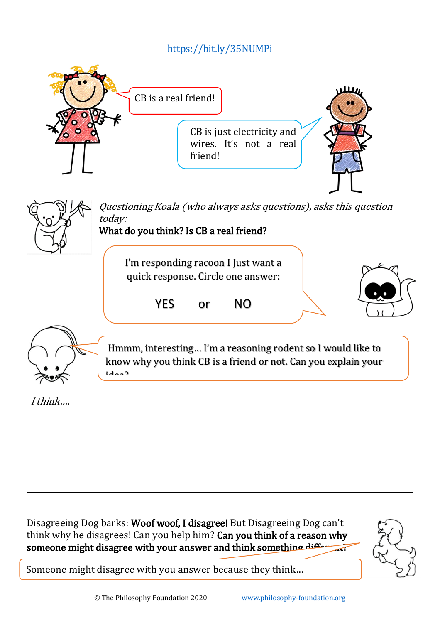## <https://bit.ly/35NUMPi>



Disagreeing Dog barks: Woof woof, I disagree! But Disagreeing Dog can't think why he disagrees! Can you help him? Can you think of a reason why someone might disagree with your answer and think something differently



Someone might disagree with you answer because they think…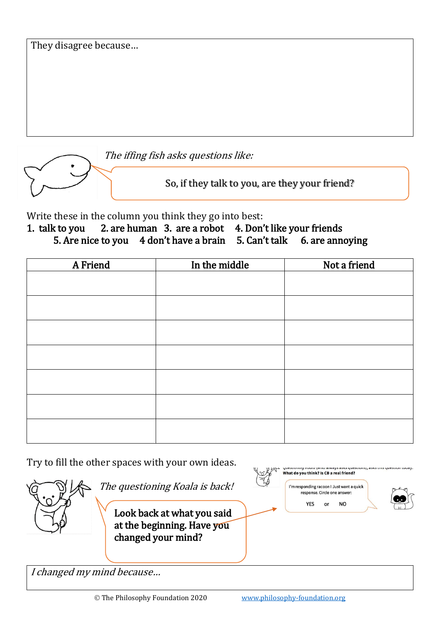|  |  | They disagree because |
|--|--|-----------------------|
|--|--|-----------------------|



So, if they talk to you, are they your friend?

Write these in the column you think they go into best:

1. talk to you 2. are human 3. are a robot 4. Don't like your friends 5. Are nice to you 4 don't have a brain 5. Can't talk 6. are annoying

| A Friend | In the middle | Not a friend |
|----------|---------------|--------------|
|          |               |              |
|          |               |              |
|          |               |              |
|          |               |              |
|          |               |              |
|          |               |              |
|          |               |              |

Try to fill the other spaces with your own ideas.



Look back at what you said at the beginning. Have you changed your mind?

The questioning Koala is back!